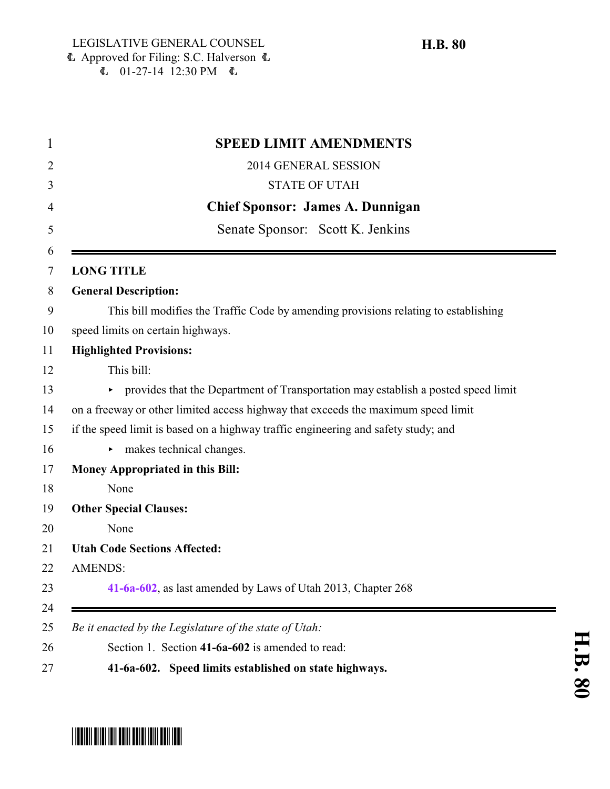|                   | <b>SPEED LIMIT AMENDMENTS</b>                                                       |
|-------------------|-------------------------------------------------------------------------------------|
|                   | 2014 GENERAL SESSION                                                                |
|                   | <b>STATE OF UTAH</b>                                                                |
|                   | <b>Chief Sponsor: James A. Dunnigan</b>                                             |
|                   | Senate Sponsor: Scott K. Jenkins                                                    |
|                   |                                                                                     |
| <b>LONG TITLE</b> |                                                                                     |
|                   | <b>General Description:</b>                                                         |
|                   | This bill modifies the Traffic Code by amending provisions relating to establishing |
|                   | speed limits on certain highways.                                                   |
|                   | <b>Highlighted Provisions:</b>                                                      |
|                   | This bill:                                                                          |
|                   | • provides that the Department of Transportation may establish a posted speed limit |
|                   | on a freeway or other limited access highway that exceeds the maximum speed limit   |
|                   | if the speed limit is based on a highway traffic engineering and safety study; and  |
|                   | makes technical changes.                                                            |
|                   | <b>Money Appropriated in this Bill:</b>                                             |
|                   | None                                                                                |
|                   | <b>Other Special Clauses:</b>                                                       |
|                   | None                                                                                |
|                   | <b>Utah Code Sections Affected:</b>                                                 |
| <b>AMENDS:</b>    |                                                                                     |
|                   | 41-6a-602, as last amended by Laws of Utah 2013, Chapter 268                        |
|                   |                                                                                     |
|                   | Be it enacted by the Legislature of the state of Utah:                              |
|                   | Section 1. Section 41-6a-602 is amended to read:                                    |
|                   | 41-6a-602. Speed limits established on state highways.                              |



# <span id="page-0-0"></span>\*HB0080\*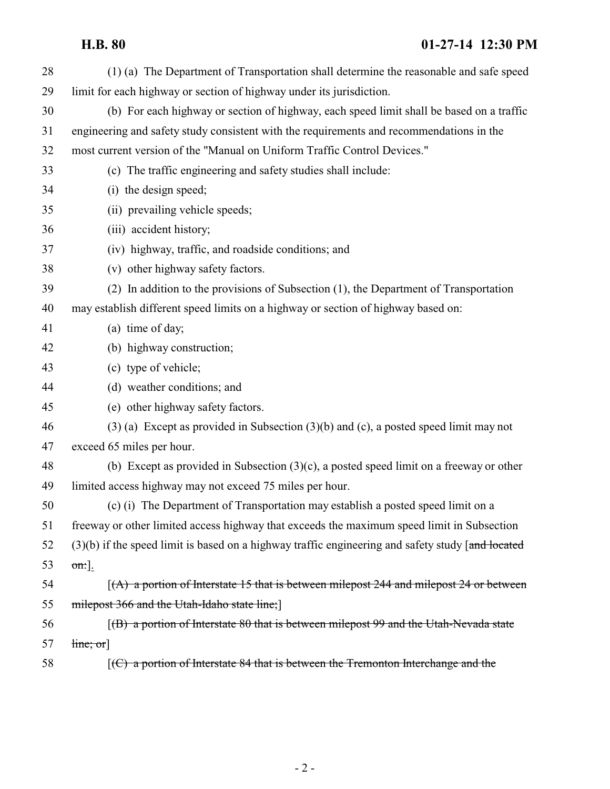## **H.B. 80 01-27-14 12:30 PM**

| (1) (a) The Department of Transportation shall determine the reasonable and safe speed              |
|-----------------------------------------------------------------------------------------------------|
| limit for each highway or section of highway under its jurisdiction.                                |
| (b) For each highway or section of highway, each speed limit shall be based on a traffic            |
| engineering and safety study consistent with the requirements and recommendations in the            |
| most current version of the "Manual on Uniform Traffic Control Devices."                            |
| (c) The traffic engineering and safety studies shall include:                                       |
| (i) the design speed;                                                                               |
| (ii) prevailing vehicle speeds;                                                                     |
| (iii) accident history;                                                                             |
| (iv) highway, traffic, and roadside conditions; and                                                 |
| (v) other highway safety factors.                                                                   |
| (2) In addition to the provisions of Subsection (1), the Department of Transportation               |
| may establish different speed limits on a highway or section of highway based on:                   |
| (a) time of day;                                                                                    |
| (b) highway construction;                                                                           |
| (c) type of vehicle;                                                                                |
| (d) weather conditions; and                                                                         |
| (e) other highway safety factors.                                                                   |
| $(3)$ (a) Except as provided in Subsection $(3)(b)$ and (c), a posted speed limit may not           |
| exceed 65 miles per hour.                                                                           |
| (b) Except as provided in Subsection $(3)(c)$ , a posted speed limit on a freeway or other          |
| limited access highway may not exceed 75 miles per hour.                                            |
| (c) (i) The Department of Transportation may establish a posted speed limit on a                    |
| freeway or other limited access highway that exceeds the maximum speed limit in Subsection          |
| $(3)(b)$ if the speed limit is based on a highway traffic engineering and safety study [and located |
| $\sigma$ n:].                                                                                       |
| $(A)$ a portion of Interstate 15 that is between milepost 244 and milepost 24 or between            |
| milepost 366 and the Utah-Idaho state line;                                                         |
| $(6)$ a portion of Interstate 80 that is between milepost 99 and the Utah-Nevada state              |
| $\lim_{\epsilon \to 0}$                                                                             |
| $[$ (C) a portion of Interstate 84 that is between the Tremonton Interchange and the                |
|                                                                                                     |